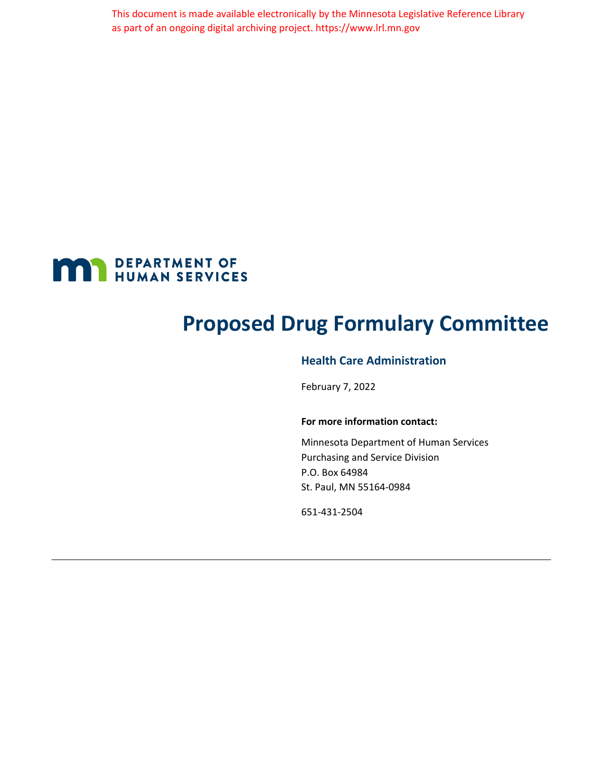This document is made available electronically by the Minnesota Legislative Reference Library as part of an ongoing digital archiving project. https://www.lrl.mn.gov



## **Proposed Drug Formulary Committee**

### **Health Care Administration**

February 7, 2022

#### **For more information contact:**

Minnesota Department of Human Services Purchasing and Service Division P.O. Box 64984 St. Paul, MN 55164-0984

651-431-2504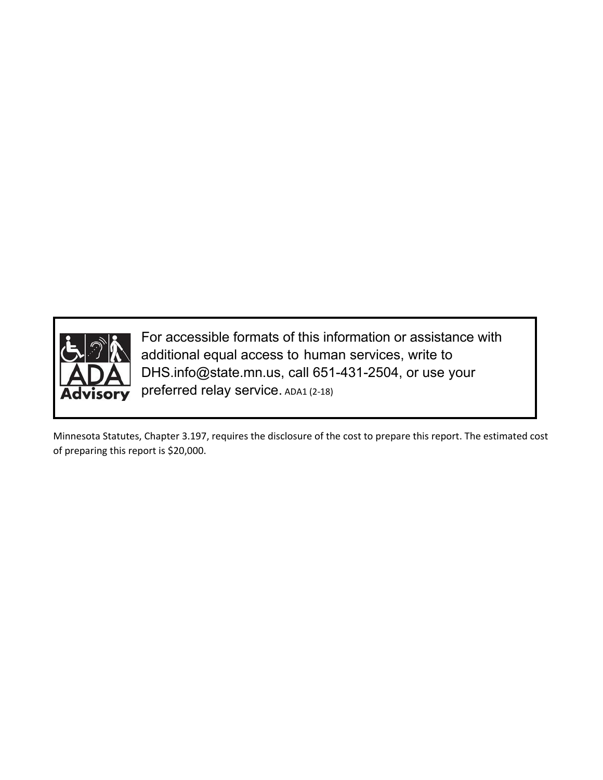

For accessible formats of this information or assistance with additional equal access to human services, write to DHS.info@state.mn.us, call 651-431-2504, or use your preferred relay service. ADA1 (2-18)

Minnesota Statutes, Chapter 3.197, requires the disclosure of the cost to prepare this report. The estimated cost of preparing this report is \$20,000.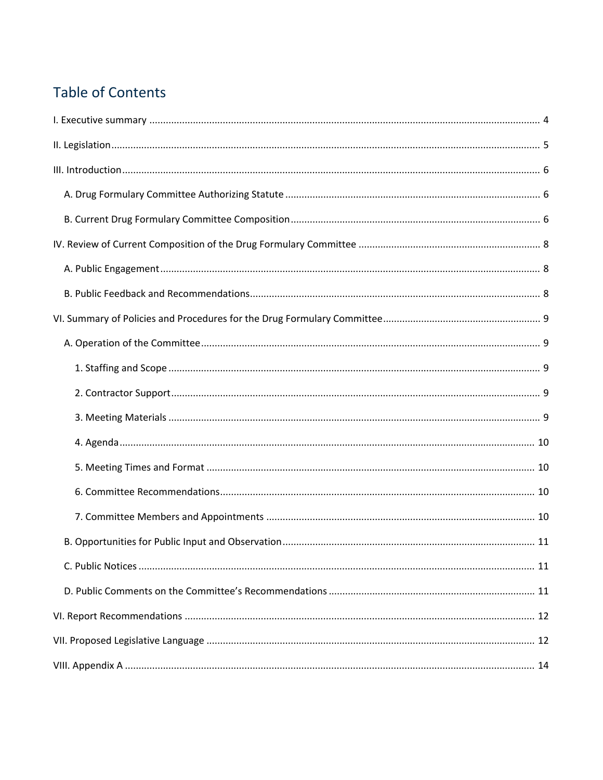## **Table of Contents**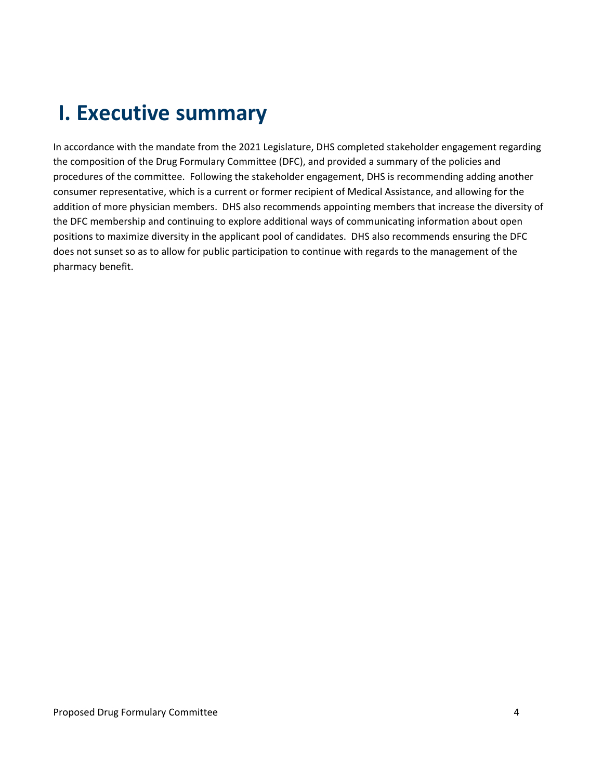# <span id="page-3-0"></span>**I. Executive summary**

In accordance with the mandate from the 2021 Legislature, DHS completed stakeholder engagement regarding the composition of the Drug Formulary Committee (DFC), and provided a summary of the policies and procedures of the committee. Following the stakeholder engagement, DHS is recommending adding another consumer representative, which is a current or former recipient of Medical Assistance, and allowing for the addition of more physician members. DHS also recommends appointing members that increase the diversity of the DFC membership and continuing to explore additional ways of communicating information about open positions to maximize diversity in the applicant pool of candidates. DHS also recommends ensuring the DFC does not sunset so as to allow for public participation to continue with regards to the management of the pharmacy benefit.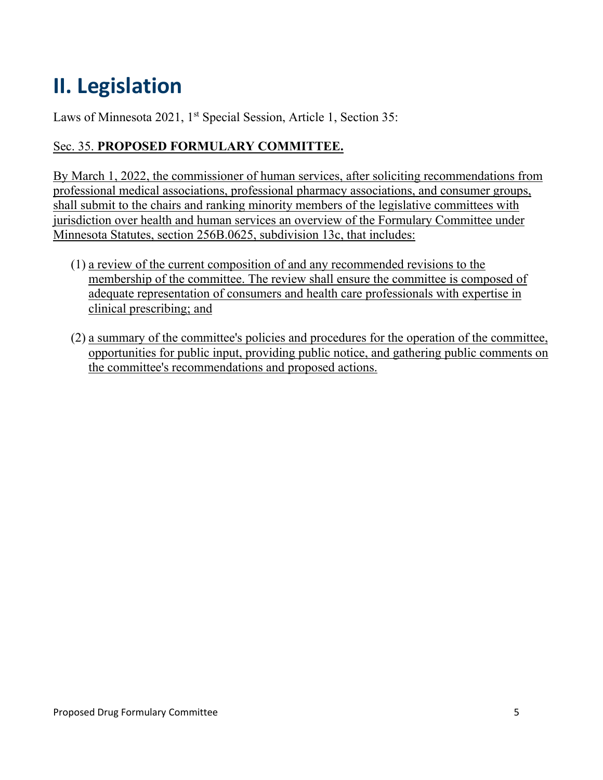# <span id="page-4-0"></span>**II. Legislation**

Laws of Minnesota 2021, 1<sup>st</sup> Special Session, Article 1, Section 35:

### Sec. 35. **PROPOSED FORMULARY COMMITTEE.**

By March 1, 2022, the commissioner of human services, after soliciting recommendations from professional medical associations, professional pharmacy associations, and consumer groups, shall submit to the chairs and ranking minority members of the legislative committees with jurisdiction over health and human services an overview of the Formulary Committee under Minnesota Statutes, section 256B.0625, subdivision 13c, that includes:

- (1) a review of the current composition of and any recommended revisions to the membership of the committee. The review shall ensure the committee is composed of adequate representation of consumers and health care professionals with expertise in clinical prescribing; and
- (2) a summary of the committee's policies and procedures for the operation of the committee, opportunities for public input, providing public notice, and gathering public comments on the committee's recommendations and proposed actions.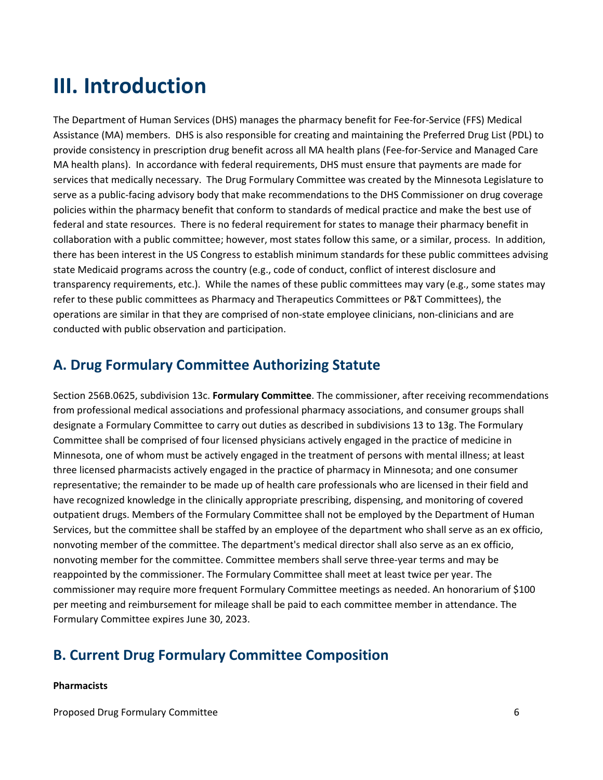# <span id="page-5-0"></span>**III. Introduction**

The Department of Human Services (DHS) manages the pharmacy benefit for Fee-for-Service (FFS) Medical Assistance (MA) members. DHS is also responsible for creating and maintaining the Preferred Drug List (PDL) to provide consistency in prescription drug benefit across all MA health plans (Fee-for-Service and Managed Care MA health plans). In accordance with federal requirements, DHS must ensure that payments are made for services that medically necessary. The Drug Formulary Committee was created by the Minnesota Legislature to serve as a public-facing advisory body that make recommendations to the DHS Commissioner on drug coverage policies within the pharmacy benefit that conform to standards of medical practice and make the best use of federal and state resources. There is no federal requirement for states to manage their pharmacy benefit in collaboration with a public committee; however, most states follow this same, or a similar, process. In addition, there has been interest in the US Congress to establish minimum standards for these public committees advising state Medicaid programs across the country (e.g., code of conduct, conflict of interest disclosure and transparency requirements, etc.). While the names of these public committees may vary (e.g., some states may refer to these public committees as Pharmacy and Therapeutics Committees or P&T Committees), the operations are similar in that they are comprised of non-state employee clinicians, non-clinicians and are conducted with public observation and participation.

## <span id="page-5-1"></span>**A. Drug Formulary Committee Authorizing Statute**

Section 256B.0625, subdivision 13c. **Formulary Committee**. The commissioner, after receiving recommendations from professional medical associations and professional pharmacy associations, and consumer groups shall designate a Formulary Committee to carry out duties as described in subdivisions 13 to 13g. The Formulary Committee shall be comprised of four licensed physicians actively engaged in the practice of medicine in Minnesota, one of whom must be actively engaged in the treatment of persons with mental illness; at least three licensed pharmacists actively engaged in the practice of pharmacy in Minnesota; and one consumer representative; the remainder to be made up of health care professionals who are licensed in their field and have recognized knowledge in the clinically appropriate prescribing, dispensing, and monitoring of covered outpatient drugs. Members of the Formulary Committee shall not be employed by the Department of Human Services, but the committee shall be staffed by an employee of the department who shall serve as an ex officio, nonvoting member of the committee. The department's medical director shall also serve as an ex officio, nonvoting member for the committee. Committee members shall serve three-year terms and may be reappointed by the commissioner. The Formulary Committee shall meet at least twice per year. The commissioner may require more frequent Formulary Committee meetings as needed. An honorarium of \$100 per meeting and reimbursement for mileage shall be paid to each committee member in attendance. The Formulary Committee expires June 30, 2023.

### <span id="page-5-2"></span>**B. Current Drug Formulary Committee Composition**

#### **Pharmacists**

Proposed Drug Formulary Committee 6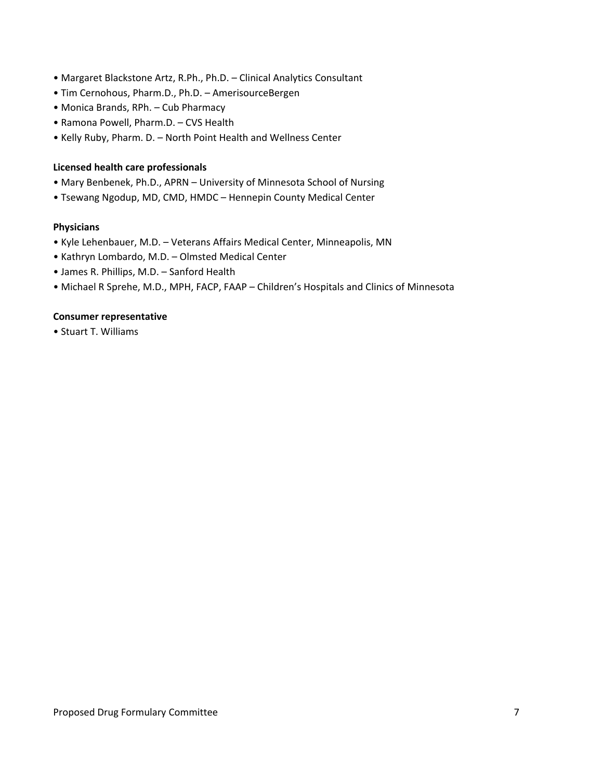- Margaret Blackstone Artz, R.Ph., Ph.D. Clinical Analytics Consultant
- Tim Cernohous, Pharm.D., Ph.D. AmerisourceBergen
- Monica Brands, RPh. Cub Pharmacy
- Ramona Powell, Pharm.D. CVS Health
- Kelly Ruby, Pharm. D. North Point Health and Wellness Center

#### **Licensed health care professionals**

- Mary Benbenek, Ph.D., APRN University of Minnesota School of Nursing
- Tsewang Ngodup, MD, CMD, HMDC Hennepin County Medical Center

#### **Physicians**

- Kyle Lehenbauer, M.D. Veterans Affairs Medical Center, Minneapolis, MN
- Kathryn Lombardo, M.D. Olmsted Medical Center
- James R. Phillips, M.D. Sanford Health
- Michael R Sprehe, M.D., MPH, FACP, FAAP Children's Hospitals and Clinics of Minnesota

#### **Consumer representative**

• Stuart T. Williams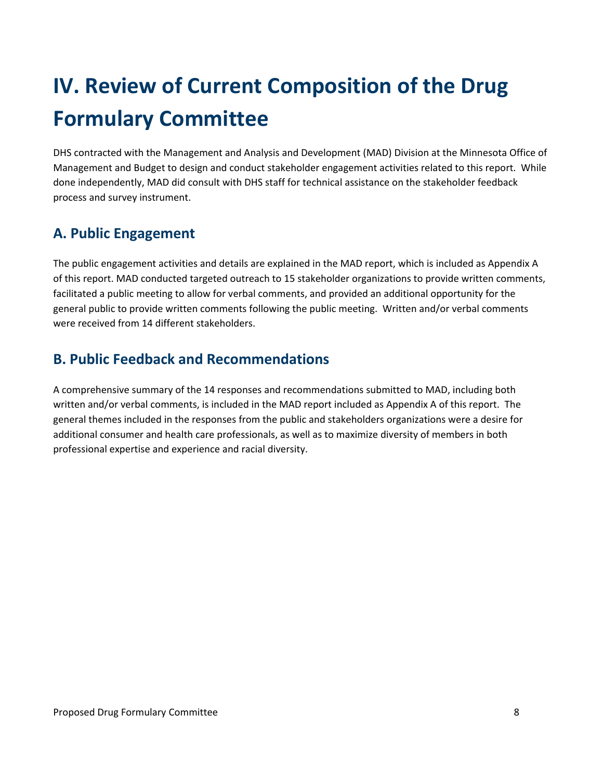# <span id="page-7-0"></span>**IV. Review of Current Composition of the Drug Formulary Committee**

DHS contracted with the Management and Analysis and Development (MAD) Division at the Minnesota Office of Management and Budget to design and conduct stakeholder engagement activities related to this report. While done independently, MAD did consult with DHS staff for technical assistance on the stakeholder feedback process and survey instrument.

## <span id="page-7-1"></span>**A. Public Engagement**

The public engagement activities and details are explained in the MAD report, which is included as Appendix A of this report. MAD conducted targeted outreach to 15 stakeholder organizations to provide written comments, facilitated a public meeting to allow for verbal comments, and provided an additional opportunity for the general public to provide written comments following the public meeting. Written and/or verbal comments were received from 14 different stakeholders.

## <span id="page-7-2"></span>**B. Public Feedback and Recommendations**

A comprehensive summary of the 14 responses and recommendations submitted to MAD, including both written and/or verbal comments, is included in the MAD report included as Appendix A of this report. The general themes included in the responses from the public and stakeholders organizations were a desire for additional consumer and health care professionals, as well as to maximize diversity of members in both professional expertise and experience and racial diversity.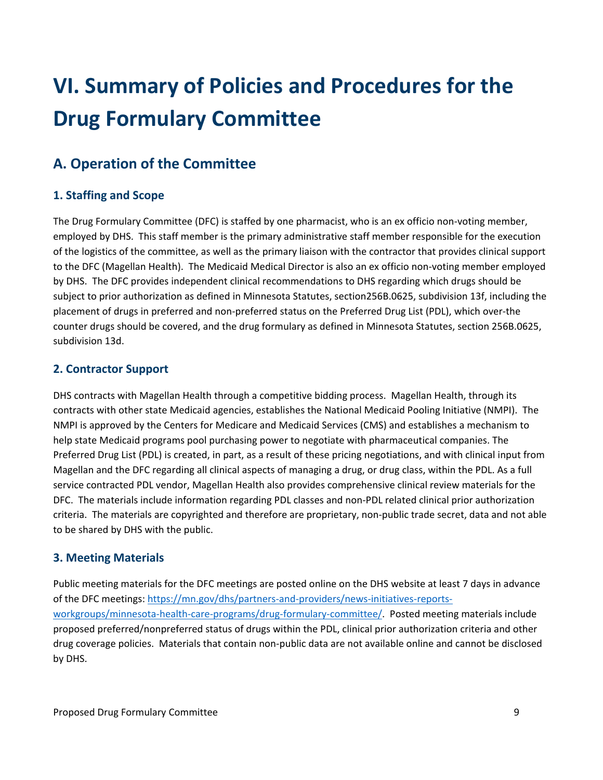# <span id="page-8-0"></span>**VI. Summary of Policies and Procedures for the Drug Formulary Committee**

## <span id="page-8-1"></span>**A. Operation of the Committee**

### <span id="page-8-2"></span>**1. Staffing and Scope**

The Drug Formulary Committee (DFC) is staffed by one pharmacist, who is an ex officio non-voting member, employed by DHS. This staff member is the primary administrative staff member responsible for the execution of the logistics of the committee, as well as the primary liaison with the contractor that provides clinical support to the DFC (Magellan Health). The Medicaid Medical Director is also an ex officio non-voting member employed by DHS. The DFC provides independent clinical recommendations to DHS regarding which drugs should be subject to prior authorization as defined in Minnesota Statutes, section256B.0625, subdivision 13f, including the placement of drugs in preferred and non-preferred status on the Preferred Drug List (PDL), which over-the counter drugs should be covered, and the drug formulary as defined in Minnesota Statutes, section 256B.0625, subdivision 13d.

### <span id="page-8-3"></span>**2. Contractor Support**

DHS contracts with Magellan Health through a competitive bidding process. Magellan Health, through its contracts with other state Medicaid agencies, establishes the National Medicaid Pooling Initiative (NMPI). The NMPI is approved by the Centers for Medicare and Medicaid Services (CMS) and establishes a mechanism to help state Medicaid programs pool purchasing power to negotiate with pharmaceutical companies. The Preferred Drug List (PDL) is created, in part, as a result of these pricing negotiations, and with clinical input from Magellan and the DFC regarding all clinical aspects of managing a drug, or drug class, within the PDL. As a full service contracted PDL vendor, Magellan Health also provides comprehensive clinical review materials for the DFC. The materials include information regarding PDL classes and non-PDL related clinical prior authorization criteria. The materials are copyrighted and therefore are proprietary, non-public trade secret, data and not able to be shared by DHS with the public.

### <span id="page-8-4"></span>**3. Meeting Materials**

Public meeting materials for the DFC meetings are posted online on the DHS website at least 7 days in advance of the DFC meetings: [https://mn.gov/dhs/partners-and-providers/news-initiatives-reports](https://mn.gov/dhs/partners-and-providers/news-initiatives-reports-workgroups/minnesota-health-care-programs/drug-formulary-committee/)[workgroups/minnesota-health-care-programs/drug-formulary-committee/.](https://mn.gov/dhs/partners-and-providers/news-initiatives-reports-workgroups/minnesota-health-care-programs/drug-formulary-committee/) Posted meeting materials include proposed preferred/nonpreferred status of drugs within the PDL, clinical prior authorization criteria and other drug coverage policies. Materials that contain non-public data are not available online and cannot be disclosed by DHS.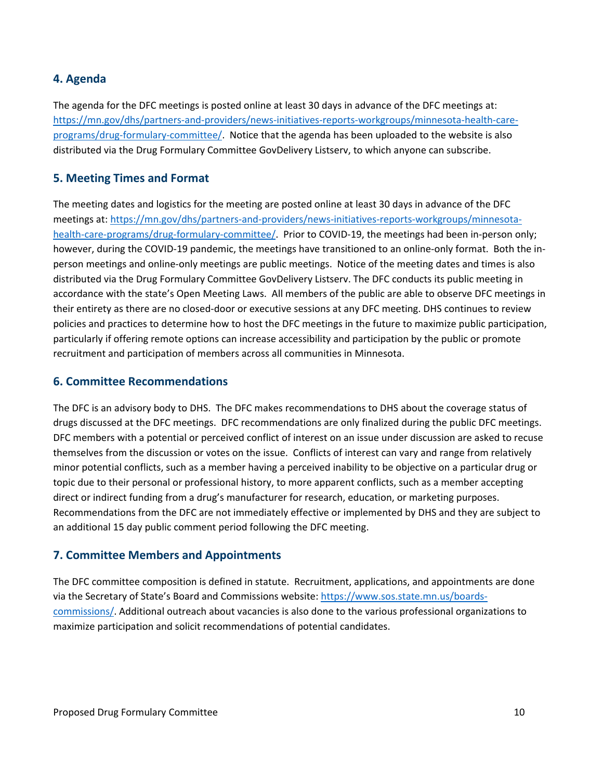### <span id="page-9-0"></span>**4. Agenda**

The agenda for the DFC meetings is posted online at least 30 days in advance of the DFC meetings at: [https://mn.gov/dhs/partners-and-providers/news-initiatives-reports-workgroups/minnesota-health-care](https://mn.gov/dhs/partners-and-providers/news-initiatives-reports-workgroups/minnesota-health-care-programs/drug-formulary-committee/)[programs/drug-formulary-committee/.](https://mn.gov/dhs/partners-and-providers/news-initiatives-reports-workgroups/minnesota-health-care-programs/drug-formulary-committee/) Notice that the agenda has been uploaded to the website is also distributed via the Drug Formulary Committee GovDelivery Listserv, to which anyone can subscribe.

### <span id="page-9-1"></span>**5. Meeting Times and Format**

The meeting dates and logistics for the meeting are posted online at least 30 days in advance of the DFC meetings at: [https://mn.gov/dhs/partners-and-providers/news-initiatives-reports-workgroups/minnesota](https://mn.gov/dhs/partners-and-providers/news-initiatives-reports-workgroups/minnesota-health-care-programs/drug-formulary-committee/)[health-care-programs/drug-formulary-committee/.](https://mn.gov/dhs/partners-and-providers/news-initiatives-reports-workgroups/minnesota-health-care-programs/drug-formulary-committee/) Prior to COVID-19, the meetings had been in-person only; however, during the COVID-19 pandemic, the meetings have transitioned to an online-only format. Both the inperson meetings and online-only meetings are public meetings. Notice of the meeting dates and times is also distributed via the Drug Formulary Committee GovDelivery Listserv. The DFC conducts its public meeting in accordance with the state's Open Meeting Laws. All members of the public are able to observe DFC meetings in their entirety as there are no closed-door or executive sessions at any DFC meeting. DHS continues to review policies and practices to determine how to host the DFC meetings in the future to maximize public participation, particularly if offering remote options can increase accessibility and participation by the public or promote recruitment and participation of members across all communities in Minnesota.

#### <span id="page-9-2"></span>**6. Committee Recommendations**

The DFC is an advisory body to DHS. The DFC makes recommendations to DHS about the coverage status of drugs discussed at the DFC meetings. DFC recommendations are only finalized during the public DFC meetings. DFC members with a potential or perceived conflict of interest on an issue under discussion are asked to recuse themselves from the discussion or votes on the issue. Conflicts of interest can vary and range from relatively minor potential conflicts, such as a member having a perceived inability to be objective on a particular drug or topic due to their personal or professional history, to more apparent conflicts, such as a member accepting direct or indirect funding from a drug's manufacturer for research, education, or marketing purposes. Recommendations from the DFC are not immediately effective or implemented by DHS and they are subject to an additional 15 day public comment period following the DFC meeting.

### <span id="page-9-3"></span>**7. Committee Members and Appointments**

The DFC committee composition is defined in statute. Recruitment, applications, and appointments are done via the Secretary of State's Board and Commissions website: [https://www.sos.state.mn.us/boards](https://www.sos.state.mn.us/boards-commissions/)[commissions/.](https://www.sos.state.mn.us/boards-commissions/) Additional outreach about vacancies is also done to the various professional organizations to maximize participation and solicit recommendations of potential candidates.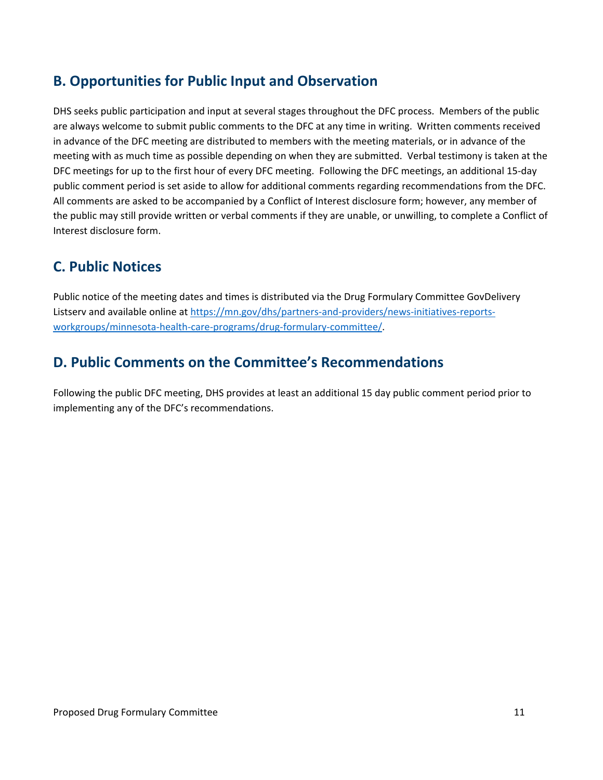## <span id="page-10-0"></span>**B. Opportunities for Public Input and Observation**

DHS seeks public participation and input at several stages throughout the DFC process. Members of the public are always welcome to submit public comments to the DFC at any time in writing. Written comments received in advance of the DFC meeting are distributed to members with the meeting materials, or in advance of the meeting with as much time as possible depending on when they are submitted. Verbal testimony is taken at the DFC meetings for up to the first hour of every DFC meeting. Following the DFC meetings, an additional 15-day public comment period is set aside to allow for additional comments regarding recommendations from the DFC. All comments are asked to be accompanied by a Conflict of Interest disclosure form; however, any member of the public may still provide written or verbal comments if they are unable, or unwilling, to complete a Conflict of Interest disclosure form.

## <span id="page-10-1"></span>**C. Public Notices**

Public notice of the meeting dates and times is distributed via the Drug Formulary Committee GovDelivery Listserv and available online at [https://mn.gov/dhs/partners-and-providers/news-initiatives-reports](https://mn.gov/dhs/partners-and-providers/news-initiatives-reports-workgroups/minnesota-health-care-programs/drug-formulary-committee/)[workgroups/minnesota-health-care-programs/drug-formulary-committee/.](https://mn.gov/dhs/partners-and-providers/news-initiatives-reports-workgroups/minnesota-health-care-programs/drug-formulary-committee/)

## <span id="page-10-2"></span>**D. Public Comments on the Committee's Recommendations**

Following the public DFC meeting, DHS provides at least an additional 15 day public comment period prior to implementing any of the DFC's recommendations.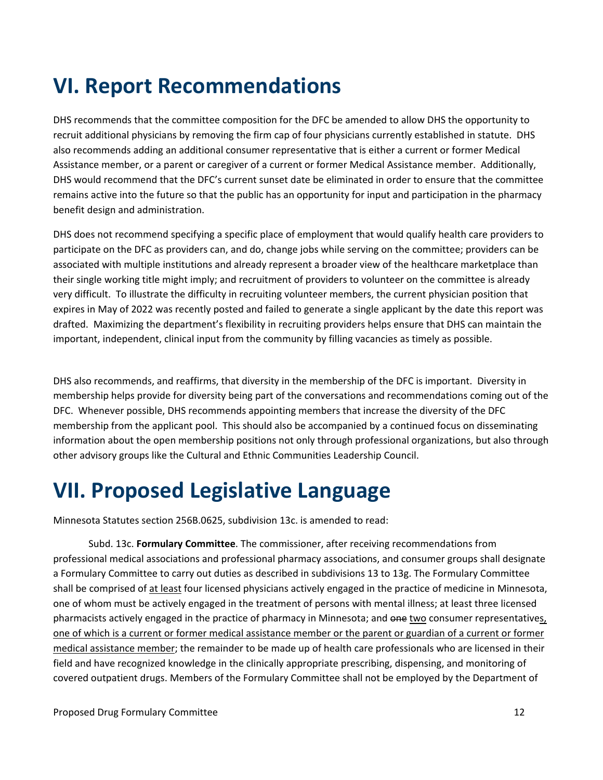# <span id="page-11-0"></span>**VI. Report Recommendations**

DHS recommends that the committee composition for the DFC be amended to allow DHS the opportunity to recruit additional physicians by removing the firm cap of four physicians currently established in statute. DHS also recommends adding an additional consumer representative that is either a current or former Medical Assistance member, or a parent or caregiver of a current or former Medical Assistance member. Additionally, DHS would recommend that the DFC's current sunset date be eliminated in order to ensure that the committee remains active into the future so that the public has an opportunity for input and participation in the pharmacy benefit design and administration.

DHS does not recommend specifying a specific place of employment that would qualify health care providers to participate on the DFC as providers can, and do, change jobs while serving on the committee; providers can be associated with multiple institutions and already represent a broader view of the healthcare marketplace than their single working title might imply; and recruitment of providers to volunteer on the committee is already very difficult. To illustrate the difficulty in recruiting volunteer members, the current physician position that expires in May of 2022 was recently posted and failed to generate a single applicant by the date this report was drafted. Maximizing the department's flexibility in recruiting providers helps ensure that DHS can maintain the important, independent, clinical input from the community by filling vacancies as timely as possible.

DHS also recommends, and reaffirms, that diversity in the membership of the DFC is important. Diversity in membership helps provide for diversity being part of the conversations and recommendations coming out of the DFC. Whenever possible, DHS recommends appointing members that increase the diversity of the DFC membership from the applicant pool. This should also be accompanied by a continued focus on disseminating information about the open membership positions not only through professional organizations, but also through other advisory groups like the Cultural and Ethnic Communities Leadership Council.

## <span id="page-11-1"></span>**VII. Proposed Legislative Language**

Minnesota Statutes section 256B.0625, subdivision 13c. is amended to read:

Subd. 13c. **Formulary Committee**. The commissioner, after receiving recommendations from professional medical associations and professional pharmacy associations, and consumer groups shall designate a Formulary Committee to carry out duties as described in subdivisions 13 to 13g. The Formulary Committee shall be comprised of at least four licensed physicians actively engaged in the practice of medicine in Minnesota, one of whom must be actively engaged in the treatment of persons with mental illness; at least three licensed pharmacists actively engaged in the practice of pharmacy in Minnesota; and one two consumer representatives, one of which is a current or former medical assistance member or the parent or guardian of a current or former medical assistance member; the remainder to be made up of health care professionals who are licensed in their field and have recognized knowledge in the clinically appropriate prescribing, dispensing, and monitoring of covered outpatient drugs. Members of the Formulary Committee shall not be employed by the Department of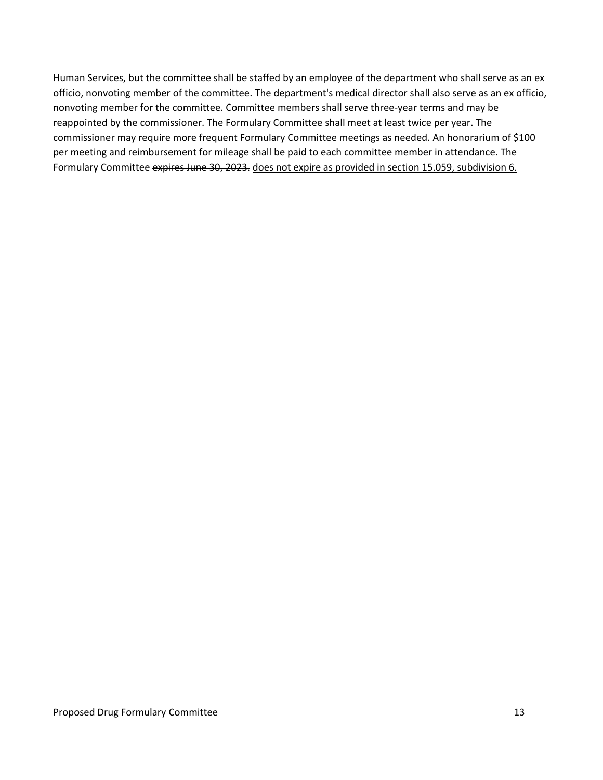Human Services, but the committee shall be staffed by an employee of the department who shall serve as an ex officio, nonvoting member of the committee. The department's medical director shall also serve as an ex officio, nonvoting member for the committee. Committee members shall serve three-year terms and may be reappointed by the commissioner. The Formulary Committee shall meet at least twice per year. The commissioner may require more frequent Formulary Committee meetings as needed. An honorarium of \$100 per meeting and reimbursement for mileage shall be paid to each committee member in attendance. The Formulary Committee expires June 30, 2023. does not expire as provided in section [15.059, subdivision 6.](https://www.revisor.mn.gov/statutes/cite/15.059#stat.15.059.6)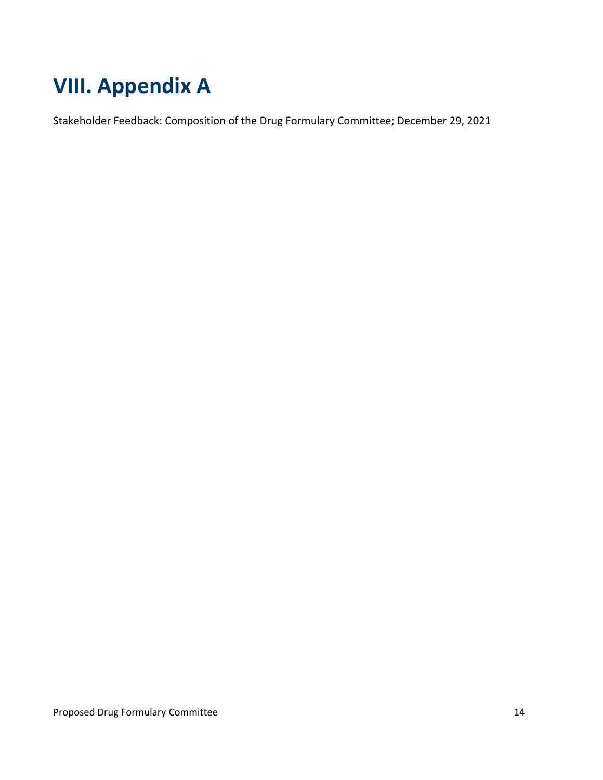# <span id="page-13-0"></span>**VIII. Appendix A**

Stakeholder Feedback: Composition of the Drug Formulary Committee; December 29, 2021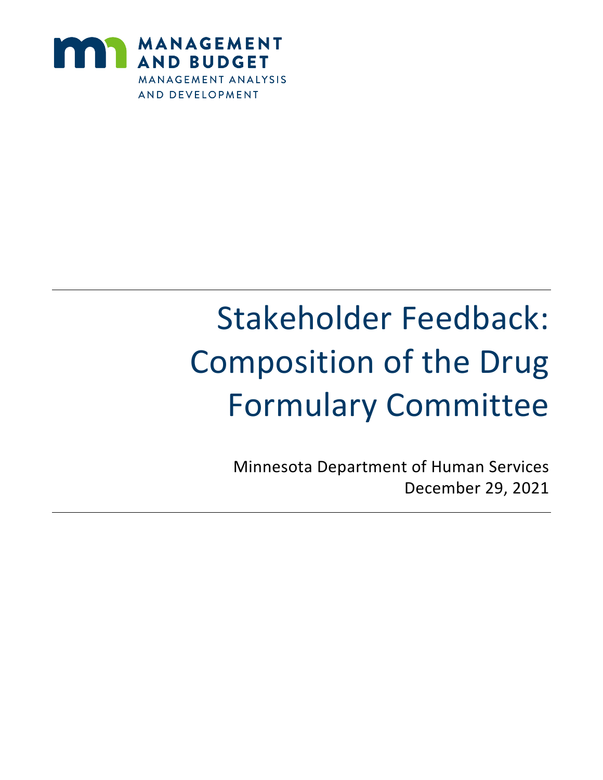

# Stakeholder Feedback: Composition of the Drug Formulary Committee

Minnesota Department of Human Services December 29, 2021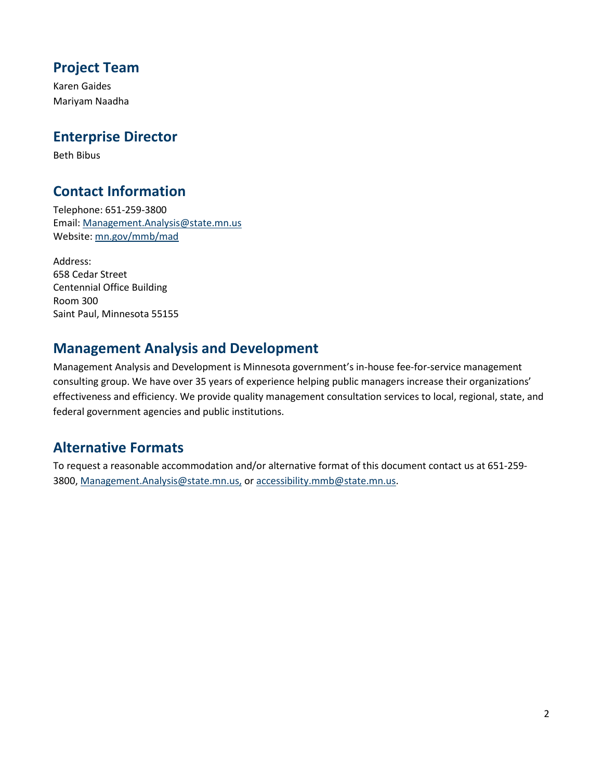## **Project Team**

Karen Gaides Mariyam Naadha

## **Enterprise Director**

Beth Bibus

## **Contact Information**

Telephone: 651-259-3800 Email: Management.Analysis@state.mn.us Website: mn.gov/mmb/mad

Address: 658 Cedar Street Centennial Office Building Room 300 Saint Paul, Minnesota 55155

## **Management Analysis and Development**

Management Analysis and Development is Minnesota government's in-house fee-for-service management consulting group. We have over 35 years of experience helping public managers increase their organizations' effectiveness and efficiency. We provide quality management consultation services to local, regional, state, and federal government agencies and public institutions.

## **Alternative Formats**

To request a reasonable accommodation and/or alternative format of this document contact us at 651-259- 3800, Management.Analysis@state.mn.us, or [accessibility.mmb@state.mn.us.](mailto:accessibility.mmb@state.mn.us)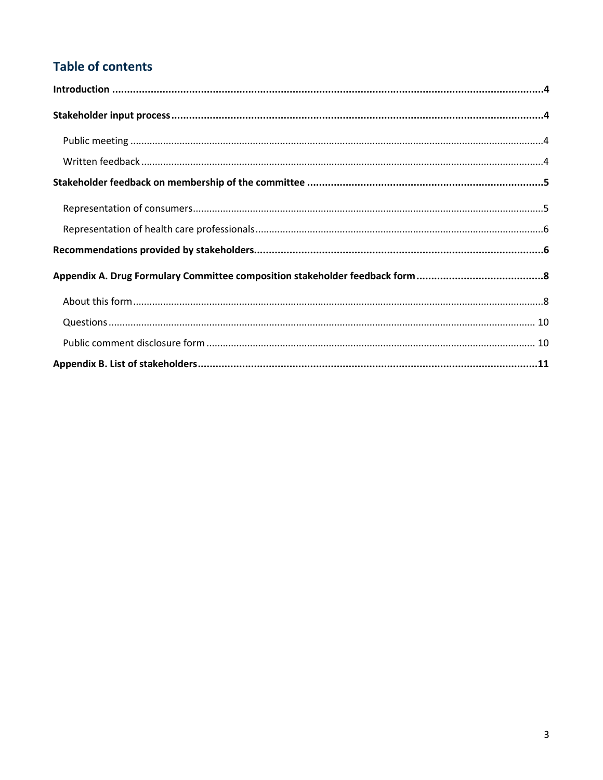## **Table of contents**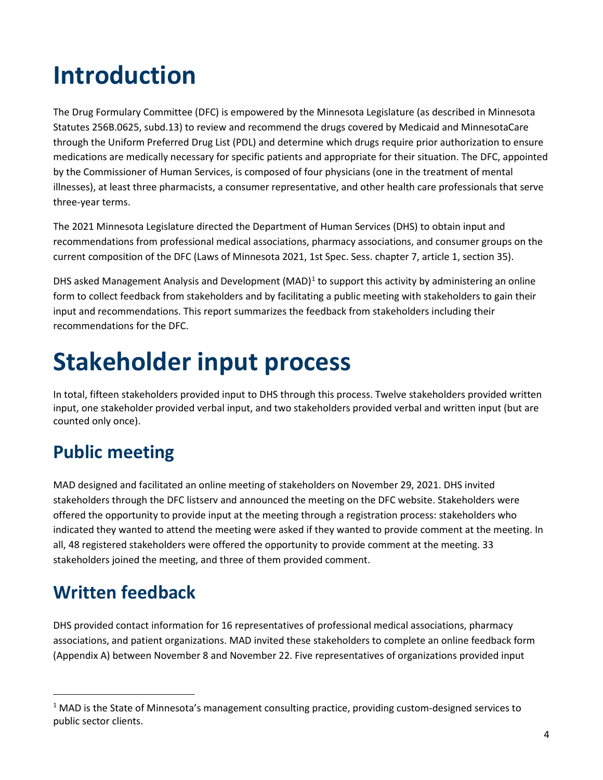# <span id="page-17-0"></span>**Introduction**

The Drug Formulary Committee (DFC) is empowered by the Minnesota Legislature (as described in Minnesota Statutes 256B.0625, subd.13) to review and recommend the drugs covered by Medicaid and MinnesotaCare through the Uniform Preferred Drug List (PDL) and determine which drugs require prior authorization to ensure medications are medically necessary for specific patients and appropriate for their situation. The DFC, appointed by the Commissioner of Human Services, is composed of four physicians (one in the treatment of mental illnesses), at least three pharmacists, a consumer representative, and other health care professionals that serve three-year terms.

The 2021 Minnesota Legislature directed the Department of Human Services (DHS) to obtain input and recommendations from professional medical associations, pharmacy associations, and consumer groups on the current composition of the DFC (Laws of Minnesota 2021, 1st Spec. Sess. chapter 7, article 1, section 35).

DHS asked Management Analysis and Development (MAD)<sup>[1](#page-17-4)</sup> to support this activity by administering an online form to collect feedback from stakeholders and by facilitating a public meeting with stakeholders to gain their input and recommendations. This report summarizes the feedback from stakeholders including their recommendations for the DFC.

# <span id="page-17-1"></span>**Stakeholder input process**

In total, fifteen stakeholders provided input to DHS through this process. Twelve stakeholders provided written input, one stakeholder provided verbal input, and two stakeholders provided verbal and written input (but are counted only once).

## <span id="page-17-2"></span>**Public meeting**

MAD designed and facilitated an online meeting of stakeholders on November 29, 2021. DHS invited stakeholders through the DFC listserv and announced the meeting on the DFC website. Stakeholders were offered the opportunity to provide input at the meeting through a registration process: stakeholders who indicated they wanted to attend the meeting were asked if they wanted to provide comment at the meeting. In all, 48 registered stakeholders were offered the opportunity to provide comment at the meeting. 33 stakeholders joined the meeting, and three of them provided comment.

## <span id="page-17-3"></span>**Written feedback**

DHS provided contact information for 16 representatives of professional medical associations, pharmacy associations, and patient organizations. MAD invited these stakeholders to complete an online feedback form (Appendix A) between November 8 and November 22. Five representatives of organizations provided input

<span id="page-17-4"></span><sup>&</sup>lt;sup>1</sup> MAD is the State of Minnesota's management consulting practice, providing custom-designed services to public sector clients.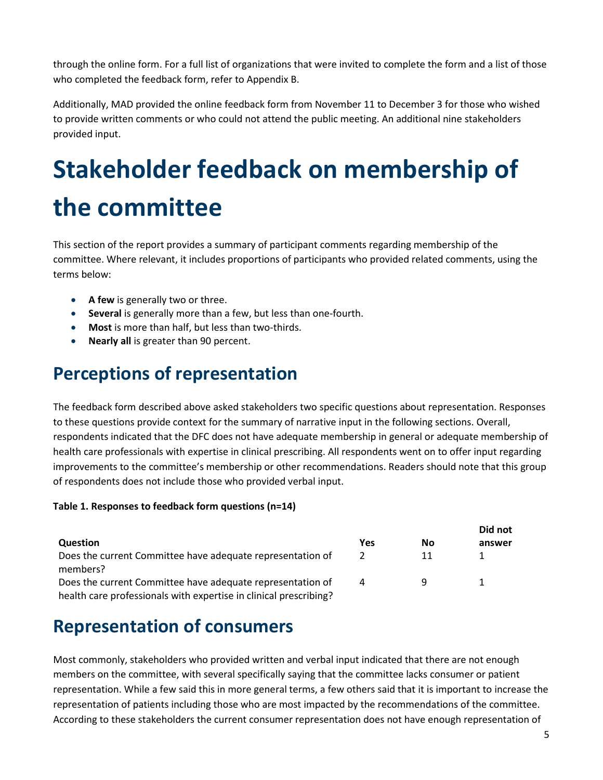through the online form. For a full list of organizations that were invited to complete the form and a list of those who completed the feedback form, refer to Appendix B.

Additionally, MAD provided the online feedback form from November 11 to December 3 for those who wished to provide written comments or who could not attend the public meeting. An additional nine stakeholders provided input.

# <span id="page-18-0"></span>**Stakeholder feedback on membership of the committee**

This section of the report provides a summary of participant comments regarding membership of the committee. Where relevant, it includes proportions of participants who provided related comments, using the terms below:

- **A few** is generally two or three.
- **Several** is generally more than a few, but less than one-fourth.
- **Most** is more than half, but less than two-thirds.
- **Nearly all** is greater than 90 percent.

## <span id="page-18-1"></span>**Perceptions of representation**

The feedback form described above asked stakeholders two specific questions about representation. Responses to these questions provide context for the summary of narrative input in the following sections. Overall, respondents indicated that the DFC does not have adequate membership in general or adequate membership of health care professionals with expertise in clinical prescribing. All respondents went on to offer input regarding improvements to the committee's membership or other recommendations. Readers should note that this group of respondents does not include those who provided verbal input.

#### **Table 1. Responses to feedback form questions (n=14)**

|                                                                                                                                 |               |    | Did not |  |
|---------------------------------------------------------------------------------------------------------------------------------|---------------|----|---------|--|
| Question                                                                                                                        | Yes           | No | answer  |  |
| Does the current Committee have adequate representation of<br>members?                                                          | $\mathcal{P}$ | 11 |         |  |
| Does the current Committee have adequate representation of<br>health care professionals with expertise in clinical prescribing? | 4             | Q  |         |  |

## **Representation of consumers**

Most commonly, stakeholders who provided written and verbal input indicated that there are not enough members on the committee, with several specifically saying that the committee lacks consumer or patient representation. While a few said this in more general terms, a few others said that it is important to increase the representation of patients including those who are most impacted by the recommendations of the committee. According to these stakeholders the current consumer representation does not have enough representation of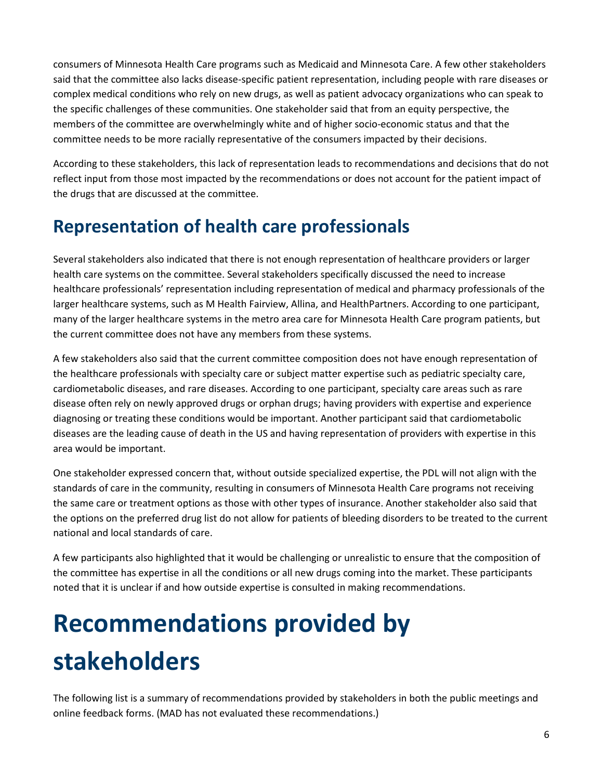consumers of Minnesota Health Care programs such as Medicaid and Minnesota Care. A few other stakeholders said that the committee also lacks disease-specific patient representation, including people with rare diseases or complex medical conditions who rely on new drugs, as well as patient advocacy organizations who can speak to the specific challenges of these communities. One stakeholder said that from an equity perspective, the members of the committee are overwhelmingly white and of higher socio-economic status and that the committee needs to be more racially representative of the consumers impacted by their decisions.

According to these stakeholders, this lack of representation leads to recommendations and decisions that do not reflect input from those most impacted by the recommendations or does not account for the patient impact of the drugs that are discussed at the committee.

## <span id="page-19-0"></span>**Representation of health care professionals**

Several stakeholders also indicated that there is not enough representation of healthcare providers or larger health care systems on the committee. Several stakeholders specifically discussed the need to increase healthcare professionals' representation including representation of medical and pharmacy professionals of the larger healthcare systems, such as M Health Fairview, Allina, and HealthPartners. According to one participant, many of the larger healthcare systems in the metro area care for Minnesota Health Care program patients, but the current committee does not have any members from these systems.

A few stakeholders also said that the current committee composition does not have enough representation of the healthcare professionals with specialty care or subject matter expertise such as pediatric specialty care, cardiometabolic diseases, and rare diseases. According to one participant, specialty care areas such as rare disease often rely on newly approved drugs or orphan drugs; having providers with expertise and experience diagnosing or treating these conditions would be important. Another participant said that cardiometabolic diseases are the leading cause of death in the US and having representation of providers with expertise in this area would be important.

One stakeholder expressed concern that, without outside specialized expertise, the PDL will not align with the standards of care in the community, resulting in consumers of Minnesota Health Care programs not receiving the same care or treatment options as those with other types of insurance. Another stakeholder also said that the options on the preferred drug list do not allow for patients of bleeding disorders to be treated to the current national and local standards of care.

A few participants also highlighted that it would be challenging or unrealistic to ensure that the composition of the committee has expertise in all the conditions or all new drugs coming into the market. These participants noted that it is unclear if and how outside expertise is consulted in making recommendations.

# <span id="page-19-1"></span>**Recommendations provided by stakeholders**

The following list is a summary of recommendations provided by stakeholders in both the public meetings and online feedback forms. (MAD has not evaluated these recommendations.)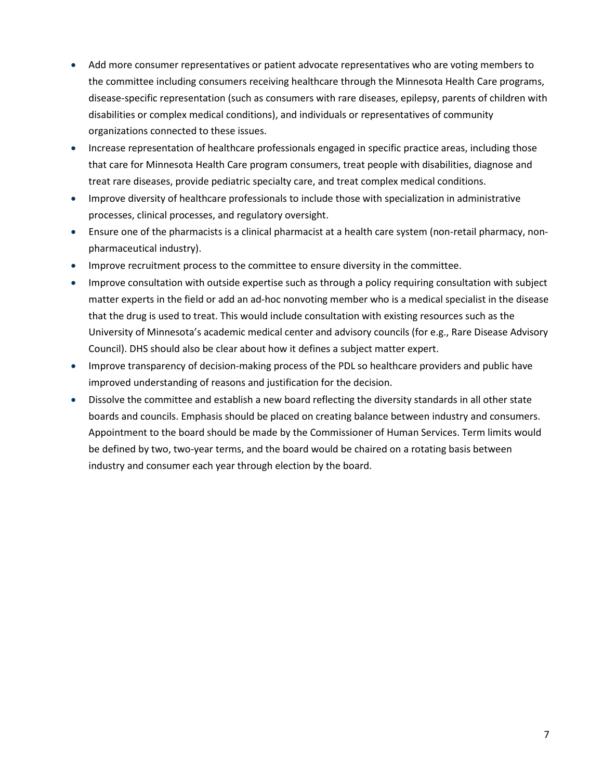- Add more consumer representatives or patient advocate representatives who are voting members to the committee including consumers receiving healthcare through the Minnesota Health Care programs, disease-specific representation (such as consumers with rare diseases, epilepsy, parents of children with disabilities or complex medical conditions), and individuals or representatives of community organizations connected to these issues.
- Increase representation of healthcare professionals engaged in specific practice areas, including those that care for Minnesota Health Care program consumers, treat people with disabilities, diagnose and treat rare diseases, provide pediatric specialty care, and treat complex medical conditions.
- Improve diversity of healthcare professionals to include those with specialization in administrative processes, clinical processes, and regulatory oversight.
- Ensure one of the pharmacists is a clinical pharmacist at a health care system (non-retail pharmacy, nonpharmaceutical industry).
- Improve recruitment process to the committee to ensure diversity in the committee.
- Improve consultation with outside expertise such as through a policy requiring consultation with subject matter experts in the field or add an ad-hoc nonvoting member who is a medical specialist in the disease that the drug is used to treat. This would include consultation with existing resources such as the University of Minnesota's academic medical center and advisory councils (for e.g., Rare Disease Advisory Council). DHS should also be clear about how it defines a subject matter expert.
- Improve transparency of decision-making process of the PDL so healthcare providers and public have improved understanding of reasons and justification for the decision.
- Dissolve the committee and establish a new board reflecting the diversity standards in all other state boards and councils. Emphasis should be placed on creating balance between industry and consumers. Appointment to the board should be made by the Commissioner of Human Services. Term limits would be defined by two, two-year terms, and the board would be chaired on a rotating basis between industry and consumer each year through election by the board.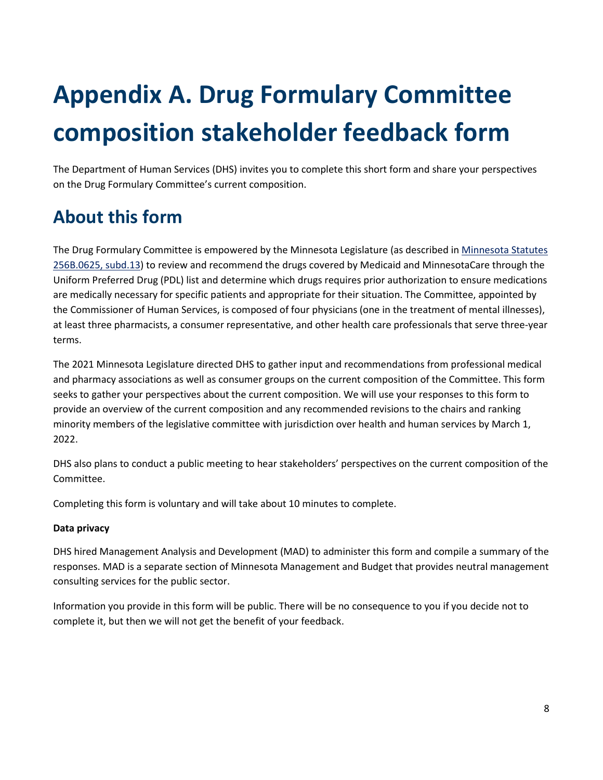# <span id="page-21-0"></span>**Appendix A. Drug Formulary Committee composition stakeholder feedback form**

The Department of Human Services (DHS) invites you to complete this short form and share your perspectives on the Drug Formulary Committee's current composition.

## <span id="page-21-1"></span>**About this form**

The Drug Formulary Committee is empowered by the Minnesota Legislature (as described i[n Minnesota Statutes](https://www.revisor.mn.gov/statutes/cite/256B.0625)  [256B.0625, subd.13\)](https://www.revisor.mn.gov/statutes/cite/256B.0625) to review and recommend the drugs covered by Medicaid and MinnesotaCare through the Uniform Preferred Drug (PDL) list and determine which drugs requires prior authorization to ensure medications are medically necessary for specific patients and appropriate for their situation. The Committee, appointed by the Commissioner of Human Services, is composed of four physicians (one in the treatment of mental illnesses), at least three pharmacists, a consumer representative, and other health care professionals that serve three-year terms.

The 2021 Minnesota Legislature directed DHS to gather input and recommendations from professional medical and pharmacy associations as well as consumer groups on the current composition of the Committee. This form seeks to gather your perspectives about the current composition. We will use your responses to this form to provide an overview of the current composition and any recommended revisions to the chairs and ranking minority members of the legislative committee with jurisdiction over health and human services by March 1, 2022.

DHS also plans to conduct a public meeting to hear stakeholders' perspectives on the current composition of the Committee.

Completing this form is voluntary and will take about 10 minutes to complete.

### **Data privacy**

DHS hired Management Analysis and Development (MAD) to administer this form and compile a summary of the responses. MAD is a separate section of Minnesota Management and Budget that provides neutral management consulting services for the public sector.

Information you provide in this form will be public. There will be no consequence to you if you decide not to complete it, but then we will not get the benefit of your feedback.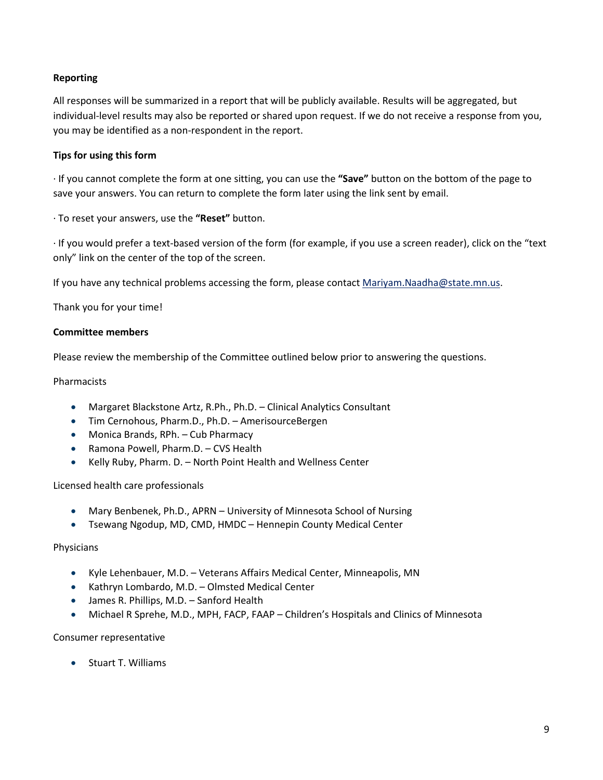### **Reporting**

All responses will be summarized in a report that will be publicly available. Results will be aggregated, but individual-level results may also be reported or shared upon request. If we do not receive a response from you, you may be identified as a non-respondent in the report.

#### **Tips for using this form**

· If you cannot complete the form at one sitting, you can use the **"Save"** button on the bottom of the page to save your answers. You can return to complete the form later using the link sent by email.

· To reset your answers, use the **"Reset"** button.

· If you would prefer a text-based version of the form (for example, if you use a screen reader), click on the "text only" link on the center of the top of the screen.

If you have any technical problems accessing the form, please contact [Mariyam.Naadha@state.mn.us.](mailto:Mariyam.Naadha@state.mn.us)

Thank you for your time!

#### **Committee members**

Please review the membership of the Committee outlined below prior to answering the questions.

#### Pharmacists

- Margaret Blackstone Artz, R.Ph., Ph.D. Clinical Analytics Consultant
- Tim Cernohous, Pharm.D., Ph.D. AmerisourceBergen
- Monica Brands, RPh. Cub Pharmacy
- Ramona Powell, Pharm.D. CVS Health
- Kelly Ruby, Pharm. D. North Point Health and Wellness Center

Licensed health care professionals

- Mary Benbenek, Ph.D., APRN University of Minnesota School of Nursing
- Tsewang Ngodup, MD, CMD, HMDC Hennepin County Medical Center

#### Physicians

- Kyle Lehenbauer, M.D. Veterans Affairs Medical Center, Minneapolis, MN
- Kathryn Lombardo, M.D. Olmsted Medical Center
- James R. Phillips, M.D. Sanford Health
- Michael R Sprehe, M.D., MPH, FACP, FAAP Children's Hospitals and Clinics of Minnesota

#### Consumer representative

• Stuart T. Williams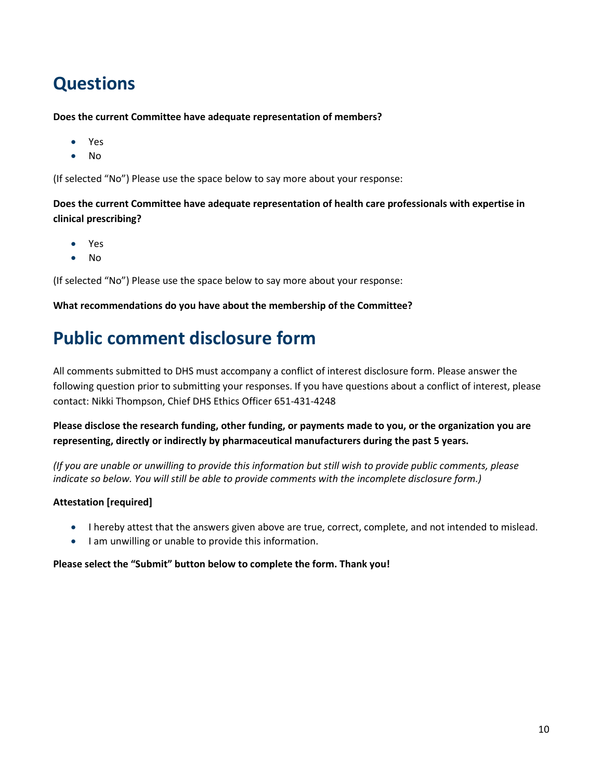## <span id="page-23-0"></span>**Questions**

**Does the current Committee have adequate representation of members?**

- Yes
- No

(If selected "No") Please use the space below to say more about your response:

**Does the current Committee have adequate representation of health care professionals with expertise in clinical prescribing?**

- Yes
- No

(If selected "No") Please use the space below to say more about your response:

#### **What recommendations do you have about the membership of the Committee?**

## <span id="page-23-1"></span>**Public comment disclosure form**

All comments submitted to DHS must accompany a conflict of interest disclosure form. Please answer the following question prior to submitting your responses. If you have questions about a conflict of interest, please contact: Nikki Thompson, Chief DHS Ethics Officer 651-431-4248

**Please disclose the research funding, other funding, or payments made to you, or the organization you are representing, directly or indirectly by pharmaceutical manufacturers during the past 5 years.**

*(If you are unable or unwilling to provide this information but still wish to provide public comments, please indicate so below. You will still be able to provide comments with the incomplete disclosure form.)*

### **Attestation [required]**

- I hereby attest that the answers given above are true, correct, complete, and not intended to mislead.
- I am unwilling or unable to provide this information.

#### **Please select the "Submit" button below to complete the form. Thank you!**